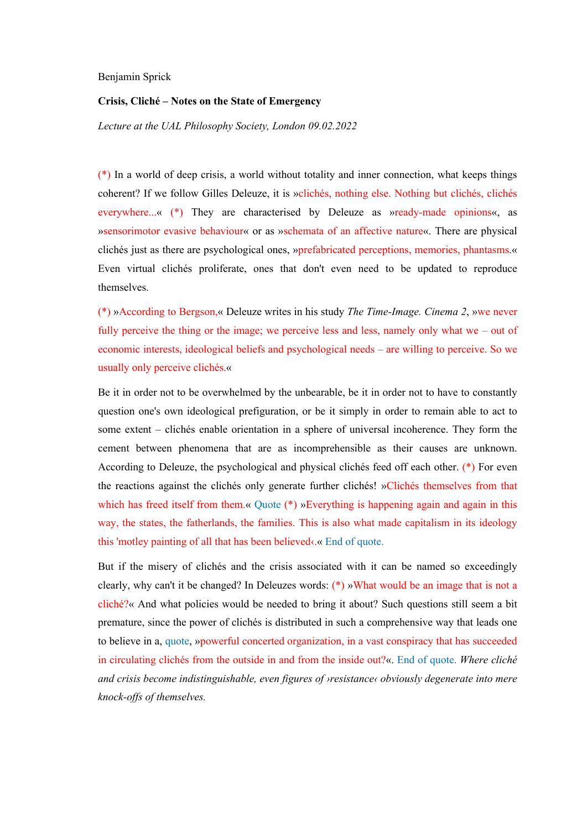## Benjamin Sprick

## **Crisis, Cliché – Notes on the State of Emergency**

*Lecture at the UAL Philosophy Society, London 09.02.2022*

(\*) In a world of deep crisis, a world without totality and inner connection, what keeps things coherent? If we follow Gilles Deleuze, it is »clichés, nothing else. Nothing but clichés, clichés everywhere...« (\*) They are characterised by Deleuze as »ready-made opinions«, as »sensorimotor evasive behaviour« or as »schemata of an affective nature«. There are physical clichés just as there are psychological ones, »prefabricated perceptions, memories, phantasms.« Even virtual clichés proliferate, ones that don't even need to be updated to reproduce themselves.

(\*) »According to Bergson,« Deleuze writes in his study *The Time-Image. Cinema 2*, »we never fully perceive the thing or the image; we perceive less and less, namely only what we – out of economic interests, ideological beliefs and psychological needs – are willing to perceive. So we usually only perceive clichés.«

Be it in order not to be overwhelmed by the unbearable, be it in order not to have to constantly question one's own ideological prefiguration, or be it simply in order to remain able to act to some extent – clichés enable orientation in a sphere of universal incoherence. They form the cement between phenomena that are as incomprehensible as their causes are unknown. According to Deleuze, the psychological and physical clichés feed off each other. (\*) For even the reactions against the clichés only generate further clichés! »Clichés themselves from that which has freed itself from them.« Quote (\*) »Everything is happening again and again in this way, the states, the fatherlands, the families. This is also what made capitalism in its ideology this 'motley painting of all that has been believed $\alpha$ .« End of quote.

But if the misery of clichés and the crisis associated with it can be named so exceedingly clearly, why can't it be changed? In Deleuzes words: (\*) »What would be an image that is not a cliché?« And what policies would be needed to bring it about? Such questions still seem a bit premature, since the power of clichés is distributed in such a comprehensive way that leads one to believe in a, quote, »powerful concerted organization, in a vast conspiracy that has succeeded in circulating clichés from the outside in and from the inside out?«. End of quote. *Where cliché and crisis become indistinguishable, even figures of ›resistance‹ obviously degenerate into mere knock-offs of themselves.*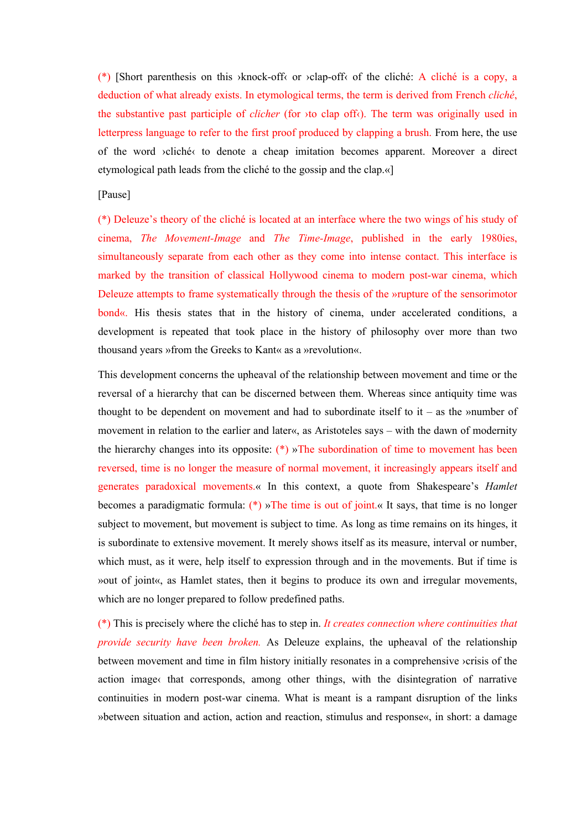(\*) [Short parenthesis on this  $\lambda$ knock-off $\lambda$  or  $\lambda$ clap-off $\lambda$  of the cliché: A cliché is a copy, a deduction of what already exists. In etymological terms, the term is derived from French *cliché*, the substantive past participle of *clicher* (for ›to clap off‹). The term was originally used in letterpress language to refer to the first proof produced by clapping a brush. From here, the use of the word ›cliché‹ to denote a cheap imitation becomes apparent. Moreover a direct etymological path leads from the cliché to the gossip and the clap.«]

## [Pause]

(\*) Deleuze's theory of the cliché is located at an interface where the two wings of his study of cinema, *The Movement-Image* and *The Time-Image*, published in the early 1980ies, simultaneously separate from each other as they come into intense contact. This interface is marked by the transition of classical Hollywood cinema to modern post-war cinema, which Deleuze attempts to frame systematically through the thesis of the »rupture of the sensorimotor bond«. His thesis states that in the history of cinema, under accelerated conditions, a development is repeated that took place in the history of philosophy over more than two thousand years »from the Greeks to Kant« as a »revolution«.

This development concerns the upheaval of the relationship between movement and time or the reversal of a hierarchy that can be discerned between them. Whereas since antiquity time was thought to be dependent on movement and had to subordinate itself to  $it -$  as the »number of movement in relation to the earlier and later«, as Aristoteles says – with the dawn of modernity the hierarchy changes into its opposite:  $(*)$  »The subordination of time to movement has been reversed, time is no longer the measure of normal movement, it increasingly appears itself and generates paradoxical movements.« In this context, a quote from Shakespeare's *Hamlet* becomes a paradigmatic formula: (\*) »The time is out of joint.« It says, that time is no longer subject to movement, but movement is subject to time. As long as time remains on its hinges, it is subordinate to extensive movement. It merely shows itself as its measure, interval or number, which must, as it were, help itself to expression through and in the movements. But if time is »out of joint«, as Hamlet states, then it begins to produce its own and irregular movements, which are no longer prepared to follow predefined paths.

(\*) This is precisely where the cliché has to step in. *It creates connection where continuities that provide security have been broken.* As Deleuze explains, the upheaval of the relationship between movement and time in film history initially resonates in a comprehensive ›crisis of the action image that corresponds, among other things, with the disintegration of narrative continuities in modern post-war cinema. What is meant is a rampant disruption of the links »between situation and action, action and reaction, stimulus and response«, in short: a damage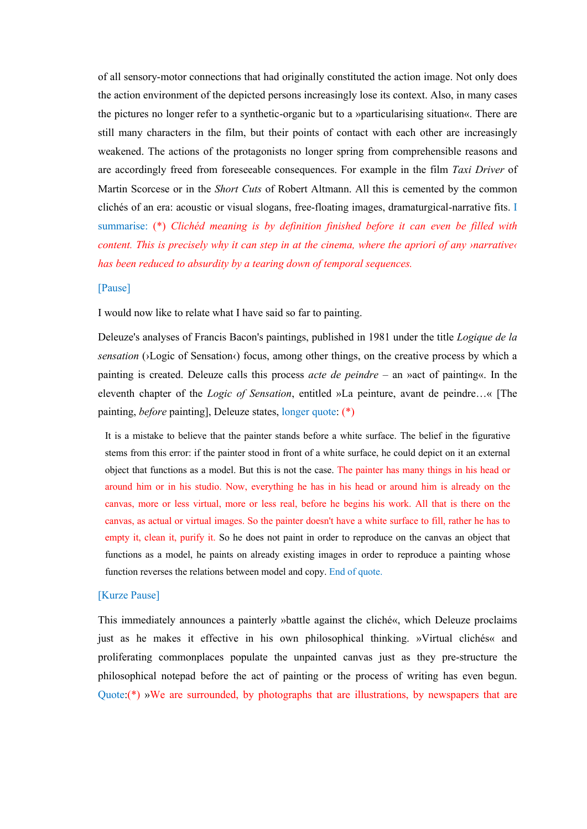of all sensory-motor connections that had originally constituted the action image. Not only does the action environment of the depicted persons increasingly lose its context. Also, in many cases the pictures no longer refer to a synthetic-organic but to a »particularising situation«. There are still many characters in the film, but their points of contact with each other are increasingly weakened. The actions of the protagonists no longer spring from comprehensible reasons and are accordingly freed from foreseeable consequences. For example in the film *Taxi Driver* of Martin Scorcese or in the *Short Cuts* of Robert Altmann. All this is cemented by the common clichés of an era: acoustic or visual slogans, free-floating images, dramaturgical-narrative fits. I summarise: (\*) *Clichéd meaning is by definition finished before it can even be filled with content. This is precisely why it can step in at the cinema, where the apriori of any ›narrative‹ has been reduced to absurdity by a tearing down of temporal sequences.* 

## [Pause]

I would now like to relate what I have said so far to painting.

Deleuze's analyses of Francis Bacon's paintings, published in 1981 under the title *Logique de la sensation* (>Logic of Sensation<) focus, among other things, on the creative process by which a painting is created. Deleuze calls this process *acte de peindre* – an »act of painting«. In the eleventh chapter of the *Logic of Sensation*, entitled »La peinture, avant de peindre…« [The painting, *before* painting], Deleuze states, longer quote: (\*)

It is a mistake to believe that the painter stands before a white surface. The belief in the figurative stems from this error: if the painter stood in front of a white surface, he could depict on it an external object that functions as a model. But this is not the case. The painter has many things in his head or around him or in his studio. Now, everything he has in his head or around him is already on the canvas, more or less virtual, more or less real, before he begins his work. All that is there on the canvas, as actual or virtual images. So the painter doesn't have a white surface to fill, rather he has to empty it, clean it, purify it. So he does not paint in order to reproduce on the canvas an object that functions as a model, he paints on already existing images in order to reproduce a painting whose function reverses the relations between model and copy. End of quote.

#### [Kurze Pause]

This immediately announces a painterly »battle against the cliché«, which Deleuze proclaims just as he makes it effective in his own philosophical thinking. »Virtual clichés« and proliferating commonplaces populate the unpainted canvas just as they pre-structure the philosophical notepad before the act of painting or the process of writing has even begun. Quote:(\*) »We are surrounded, by photographs that are illustrations, by newspapers that are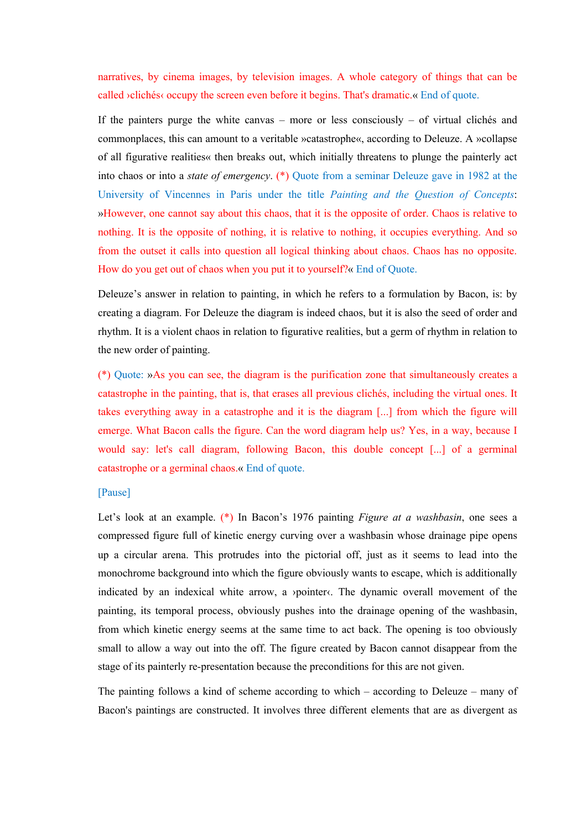narratives, by cinema images, by television images. A whole category of things that can be called ›clichés‹ occupy the screen even before it begins. That's dramatic.« End of quote.

If the painters purge the white canvas – more or less consciously – of virtual clichés and commonplaces, this can amount to a veritable »catastrophe«, according to Deleuze. A »collapse of all figurative realities« then breaks out, which initially threatens to plunge the painterly act into chaos or into a *state of emergency*. (\*) Quote from a seminar Deleuze gave in 1982 at the University of Vincennes in Paris under the title *Painting and the Question of Concepts*: »However, one cannot say about this chaos, that it is the opposite of order. Chaos is relative to nothing. It is the opposite of nothing, it is relative to nothing, it occupies everything. And so from the outset it calls into question all logical thinking about chaos. Chaos has no opposite. How do you get out of chaos when you put it to yourself?« End of Quote.

Deleuze's answer in relation to painting, in which he refers to a formulation by Bacon, is: by creating a diagram. For Deleuze the diagram is indeed chaos, but it is also the seed of order and rhythm. It is a violent chaos in relation to figurative realities, but a germ of rhythm in relation to the new order of painting.

(\*) Quote: »As you can see, the diagram is the purification zone that simultaneously creates a catastrophe in the painting, that is, that erases all previous clichés, including the virtual ones. It takes everything away in a catastrophe and it is the diagram [...] from which the figure will emerge. What Bacon calls the figure. Can the word diagram help us? Yes, in a way, because I would say: let's call diagram, following Bacon, this double concept [...] of a germinal catastrophe or a germinal chaos.« End of quote.

# [Pause]

Let's look at an example. (\*) In Bacon's 1976 painting *Figure at a washbasin*, one sees a compressed figure full of kinetic energy curving over a washbasin whose drainage pipe opens up a circular arena. This protrudes into the pictorial off, just as it seems to lead into the monochrome background into which the figure obviously wants to escape, which is additionally indicated by an indexical white arrow, a *ypointer* (. The dynamic overall movement of the painting, its temporal process, obviously pushes into the drainage opening of the washbasin, from which kinetic energy seems at the same time to act back. The opening is too obviously small to allow a way out into the off. The figure created by Bacon cannot disappear from the stage of its painterly re-presentation because the preconditions for this are not given.

The painting follows a kind of scheme according to which – according to Deleuze – many of Bacon's paintings are constructed. It involves three different elements that are as divergent as